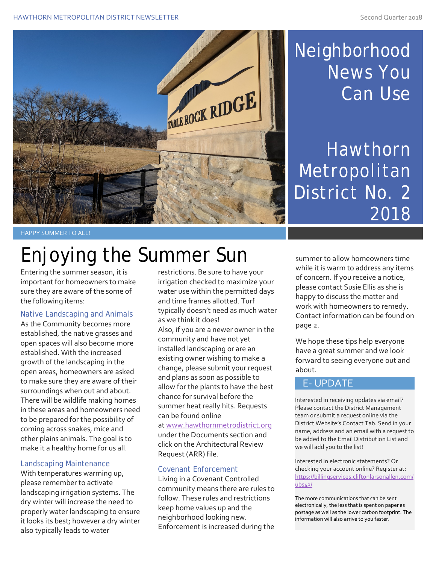

## Neighborhood News You Can Use

**Hawthorn Metropolitan** District No. 2 2018

HAPPY SUMMER TO ALL!

# Enjoying the Summer Sun

Entering the summer season, it is important for homeowners to make sure they are aware of the some of the following items:

#### Native Landscaping and Animals

As the Community becomes more established, the native grasses and open spaces will also become more established. With the increased growth of the landscaping in the open areas, homeowners are asked to make sure they are aware of their surroundings when out and about. There will be wildlife making homes in these areas and homeowners need to be prepared for the possibility of coming across snakes, mice and other plains animals. The goal is to make it a healthy home for us all.

#### Landscaping Maintenance

With temperatures warming up, please remember to activate landscaping irrigation systems. The dry winter will increase the need to properly water landscaping to ensure it looks its best; however a dry winter also typically leads to water

restrictions. Be sure to have your irrigation checked to maximize your water use within the permitted days and time frames allotted. Turf typically doesn't need as much water as we think it does! Also, if you are a newer owner in the community and have not yet installed landscaping or are an existing owner wishing to make a change, please submit your request and plans as soon as possible to allow for the plants to have the best chance for survival before the summer heat really hits. Requests can be found online a[t www.hawthornmetrodistrict.org](http://www.hawthornmetrodistrict.org/)

under the Documents section and click on the Architectural Review Request (ARR) file.

#### Covenant Enforcement

Living in a Covenant Controlled community means there are rules to follow. These rules and restrictions keep home values up and the neighborhood looking new. Enforcement is increased during the

summer to allow homeowners time while it is warm to address any items of concern. If you receive a notice, please contact Susie Ellis as she is happy to discuss the matter and work with homeowners to remedy. Contact information can be found on page 2.

We hope these tips help everyone have a great summer and we look forward to seeing everyone out and about.

#### E- UPDATE

Interested in receiving updates via email? Please contact the District Management team or submit a request online via the District Website's Contact Tab. Send in your name, address and an email with a request to be added to the Email Distribution List and we will add you to the list!

Interested in electronic statements? Or checking your account online? Register at: [https://billingservices.cliftonlarsonallen.com/](https://billingservices.cliftonlarsonallen.com/ubs43/) [ubs43/](https://billingservices.cliftonlarsonallen.com/ubs43/)

The more communications that can be sent electronically, the less that is spent on paper as postage as well as the lower carbon footprint. The information will also arrive to you faster.